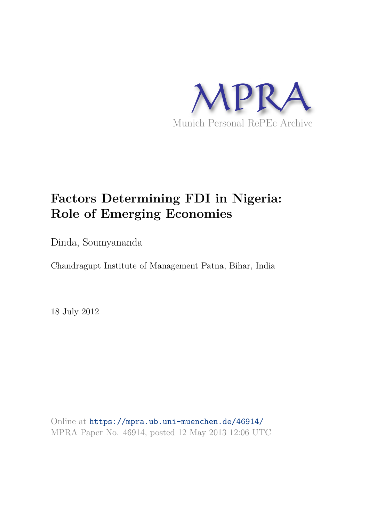

# **Factors Determining FDI in Nigeria: Role of Emerging Economies**

Dinda, Soumyananda

Chandragupt Institute of Management Patna, Bihar, India

18 July 2012

Online at https://mpra.ub.uni-muenchen.de/46914/ MPRA Paper No. 46914, posted 12 May 2013 12:06 UTC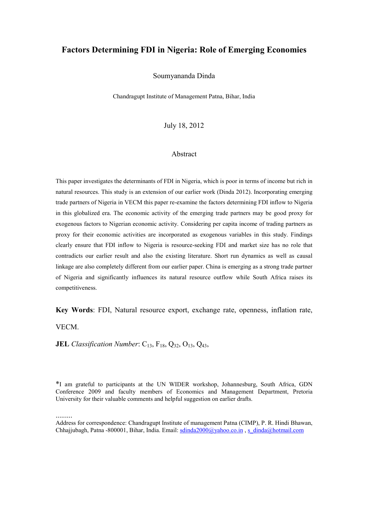# **Factors Determining FDI in Nigeria: Role of Emerging Economies**

Soumyananda Dinda

Chandragupt Institute of Management Patna, Bihar, India

July 18, 2012

#### Abstract

This paper investigates the determinants of FDI in Nigeria, which is poor in terms of income but rich in natural resources. This study is an extension of our earlier work (Dinda 2012). Incorporating emerging trade partners of Nigeria in VECM this paper re-examine the factors determining FDI inflow to Nigeria in this globalized era. The economic activity of the emerging trade partners may be good proxy for exogenous factors to Nigerian economic activity. Considering per capita income of trading partners as proxy for their economic activities are incorporated as exogenous variables in this study. Findings clearly ensure that FDI inflow to Nigeria is resource-seeking FDI and market size has no role that contradicts our earlier result and also the existing literature. Short run dynamics as well as causal linkage are also completely different from our earlier paper. China is emerging as a strong trade partner of Nigeria and significantly influences its natural resource outflow while South Africa raises its competitiveness.

**Key Words**: FDI, Natural resource export, exchange rate, openness, inflation rate,

VECM.

.........

**JEL** *Classification Number*: C<sub>13</sub>, F<sub>18</sub>, Q<sub>32</sub>, O<sub>13</sub>, Q<sub>43</sub>,

\*I am grateful to participants at the UN WIDER workshop, Johannesburg, South Africa, GDN Conference 2009 and faculty members of Economics and Management Department, Pretoria University for their valuable comments and helpful suggestion on earlier drafts.

Address for correspondence: Chandragupt Institute of management Patna (CIMP), P. R. Hindi Bhawan, Chhajjubagh, Patna -800001, Bihar, India. Email: s[dinda2000@yahoo.co.in , s](mailto:sdinda2000@yahoo.co.in)[\\_dinda@hotmail.com](mailto:s_dinda@hotmail.com)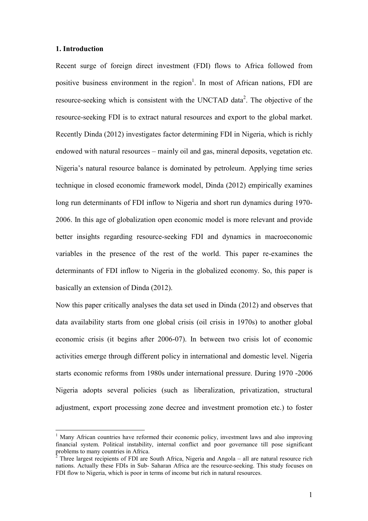#### **1. Introduction**

 $\overline{a}$ 

Recent surge of foreign direct investment (FDI) flows to Africa followed from positive business environment in the region<sup>1</sup>. In most of African nations, FDI are resource-seeking which is consistent with the UNCTAD data<sup>2</sup>. The objective of the resource-seeking FDI is to extract natural resources and export to the global market. Recently Dinda (2012) investigates factor determining FDI in Nigeria, which is richly endowed with natural resources – mainly oil and gas, mineral deposits, vegetation etc. Nigeria's natural resource balance is dominated by petroleum. Applying time series technique in closed economic framework model, Dinda (2012) empirically examines long run determinants of FDI inflow to Nigeria and short run dynamics during 1970- 2006. In this age of globalization open economic model is more relevant and provide better insights regarding resource-seeking FDI and dynamics in macroeconomic variables in the presence of the rest of the world. This paper re-examines the determinants of FDI inflow to Nigeria in the globalized economy. So, this paper is basically an extension of Dinda (2012).

Now this paper critically analyses the data set used in Dinda (2012) and observes that data availability starts from one global crisis (oil crisis in 1970s) to another global economic crisis (it begins after 2006-07). In between two crisis lot of economic activities emerge through different policy in international and domestic level. Nigeria starts economic reforms from 1980s under international pressure. During 1970 -2006 Nigeria adopts several policies (such as liberalization, privatization, structural adjustment, export processing zone decree and investment promotion etc.) to foster

<sup>&</sup>lt;sup>1</sup> Many African countries have reformed their economic policy, investment laws and also improving financial system. Political instability, internal conflict and poor governance till pose significant problems to many countries in Africa.<br><sup>2</sup> Three largest reginients of EDI are 1

Three largest recipients of FDI are South Africa, Nigeria and Angola – all are natural resource rich nations. Actually these FDIs in Sub- Saharan Africa are the resource-seeking. This study focuses on FDI flow to Nigeria, which is poor in terms of income but rich in natural resources.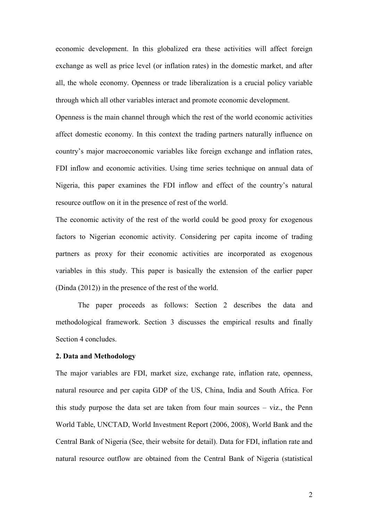economic development. In this globalized era these activities will affect foreign exchange as well as price level (or inflation rates) in the domestic market, and after all, the whole economy. Openness or trade liberalization is a crucial policy variable through which all other variables interact and promote economic development.

Openness is the main channel through which the rest of the world economic activities affect domestic economy. In this context the trading partners naturally influence on country's major macroeconomic variables like foreign exchange and inflation rates, FDI inflow and economic activities. Using time series technique on annual data of Nigeria, this paper examines the FDI inflow and effect of the country's natural resource outflow on it in the presence of rest of the world.

The economic activity of the rest of the world could be good proxy for exogenous factors to Nigerian economic activity. Considering per capita income of trading partners as proxy for their economic activities are incorporated as exogenous variables in this study. This paper is basically the extension of the earlier paper (Dinda (2012)) in the presence of the rest of the world.

The paper proceeds as follows: Section 2 describes the data and methodological framework. Section 3 discusses the empirical results and finally Section 4 concludes.

#### **2. Data and Methodology**

The major variables are FDI, market size, exchange rate, inflation rate, openness, natural resource and per capita GDP of the US, China, India and South Africa. For this study purpose the data set are taken from four main sources – viz., the Penn World Table, UNCTAD, World Investment Report (2006, 2008), World Bank and the Central Bank of Nigeria (See, their website for detail). Data for FDI, inflation rate and natural resource outflow are obtained from the Central Bank of Nigeria (statistical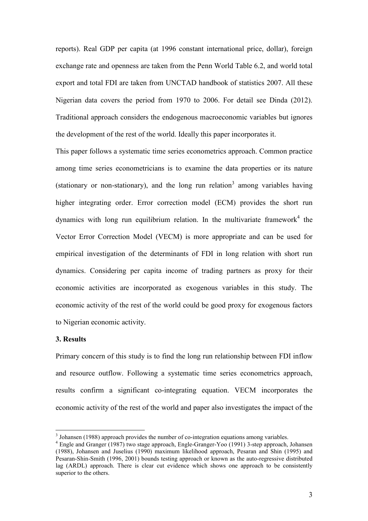reports). Real GDP per capita (at 1996 constant international price, dollar), foreign exchange rate and openness are taken from the Penn World Table 6.2, and world total export and total FDI are taken from UNCTAD handbook of statistics 2007. All these Nigerian data covers the period from 1970 to 2006. For detail see Dinda (2012). Traditional approach considers the endogenous macroeconomic variables but ignores the development of the rest of the world. Ideally this paper incorporates it.

This paper follows a systematic time series econometrics approach. Common practice among time series econometricians is to examine the data properties or its nature (stationary or non-stationary), and the long run relation<sup>3</sup> among variables having higher integrating order. Error correction model (ECM) provides the short run dynamics with long run equilibrium relation. In the multivariate framework<sup>4</sup> the Vector Error Correction Model (VECM) is more appropriate and can be used for empirical investigation of the determinants of FDI in long relation with short run dynamics. Considering per capita income of trading partners as proxy for their economic activities are incorporated as exogenous variables in this study. The economic activity of the rest of the world could be good proxy for exogenous factors to Nigerian economic activity.

#### **3. Results**

 $\overline{a}$ 

Primary concern of this study is to find the long run relationship between FDI inflow and resource outflow. Following a systematic time series econometrics approach, results confirm a significant co-integrating equation. VECM incorporates the economic activity of the rest of the world and paper also investigates the impact of the

 $3$  Johansen (1988) approach provides the number of co-integration equations among variables.

<sup>&</sup>lt;sup>4</sup> Engle and Granger (1987) two stage approach, Engle-Granger-Yoo (1991) 3-step approach, Johansen (1988), Johansen and Juselius (1990) maximum likelihood approach, Pesaran and Shin (1995) and Pesaran-Shin-Smith (1996, 2001) bounds testing approach or known as the auto-regressive distributed lag (ARDL) approach. There is clear cut evidence which shows one approach to be consistently superior to the others.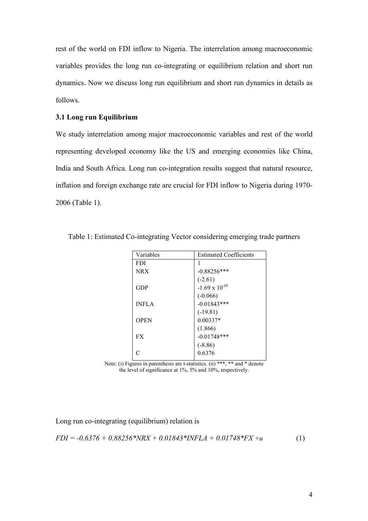rest of the world on FDI inflow to Nigeria. The interrelation among macroeconomic variables provides the long run co-integrating or equilibrium relation and short run dynamics. Now we discuss long run equilibrium and short run dynamics in details as follows.

### **3.1 Long run Equilibrium**

We study interrelation among major macroeconomic variables and rest of the world representing developed economy like the US and emerging economies like China, India and South Africa. Long run co-integration results suggest that natural resource, inflation and foreign exchange rate are crucial for FDI inflow to Nigeria during 1970- 2006 (Table 1).

| Variables    | <b>Estimated Coefficients</b> |
|--------------|-------------------------------|
| <b>FDI</b>   |                               |
| NR X         | $-0.88256***$                 |
|              | $(-2.61)$                     |
| GDP          | $-1.69 \times 10^{-05}$       |
|              | $(-0.066)$                    |
| <b>INFLA</b> | $-0.01843***$                 |
|              | $(-19.81)$                    |
| <b>OPEN</b>  | $0.00337*$                    |
|              | (1.866)                       |
| FX.          | $-0.01748***$                 |
|              | $(-8.86)$                     |
|              | 0.6376                        |
|              |                               |

Table 1: Estimated Co-integrating Vector considering emerging trade partners

Note: (i) Figures in parenthesis are t-statistics. (ii) \*\*\*, \*\* and \* denote the level of significance at 1%, 5% and 10%, respectively.

Long run co-integrating (equilibrium) relation is

$$
FDI = -0.6376 + 0.88256 * NRX + 0.01843 * INFLA + 0.01748 * FX + u \tag{1}
$$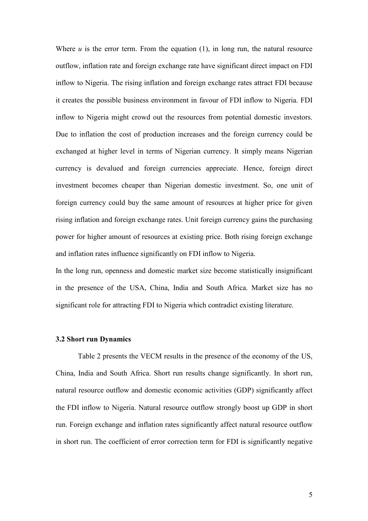Where  $u$  is the error term. From the equation  $(1)$ , in long run, the natural resource outflow, inflation rate and foreign exchange rate have significant direct impact on FDI inflow to Nigeria. The rising inflation and foreign exchange rates attract FDI because it creates the possible business environment in favour of FDI inflow to Nigeria. FDI inflow to Nigeria might crowd out the resources from potential domestic investors. Due to inflation the cost of production increases and the foreign currency could be exchanged at higher level in terms of Nigerian currency. It simply means Nigerian currency is devalued and foreign currencies appreciate. Hence, foreign direct investment becomes cheaper than Nigerian domestic investment. So, one unit of foreign currency could buy the same amount of resources at higher price for given rising inflation and foreign exchange rates. Unit foreign currency gains the purchasing power for higher amount of resources at existing price. Both rising foreign exchange and inflation rates influence significantly on FDI inflow to Nigeria.

In the long run, openness and domestic market size become statistically insignificant in the presence of the USA, China, India and South Africa. Market size has no significant role for attracting FDI to Nigeria which contradict existing literature.

#### **3.2 Short run Dynamics**

Table 2 presents the VECM results in the presence of the economy of the US, China, India and South Africa. Short run results change significantly. In short run, natural resource outflow and domestic economic activities (GDP) significantly affect the FDI inflow to Nigeria. Natural resource outflow strongly boost up GDP in short run. Foreign exchange and inflation rates significantly affect natural resource outflow in short run. The coefficient of error correction term for FDI is significantly negative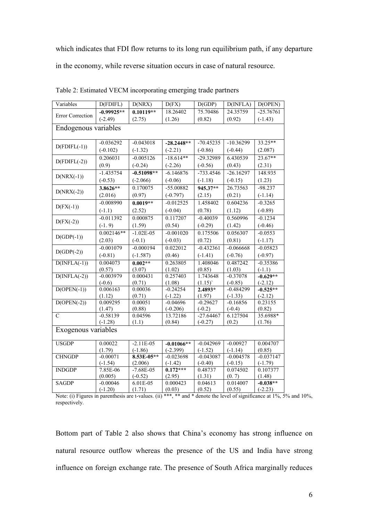which indicates that FDI flow returns to its long run equilibrium path, if any departure

in the economy, while reverse situation occurs in case of natural resource.

| Variables            | D(FDIFL)     | D(NRX)        | D(FX)        | D(GDP)      | D(INFLA)    | D(OPEN)     |  |  |
|----------------------|--------------|---------------|--------------|-------------|-------------|-------------|--|--|
|                      | $-0.99925**$ | $0.10119**$   | 18.26402     | 75.70486    | 24.35759    | $-25.76761$ |  |  |
| Error Correction     | $(-2.49)$    | (2.75)        | (1.26)       | (0.82)      | (0.92)      | $(-1.43)$   |  |  |
| Endogenous variables |              |               |              |             |             |             |  |  |
|                      |              |               |              |             |             |             |  |  |
|                      | $-0.036292$  | $-0.043018$   | $-28.2448**$ | $-70.45235$ | $-10.36299$ | $33.25**$   |  |  |
| $D(FDIFL(-1))$       | $(-0.102)$   | $(-1.32)$     | $(-2.21)$    | $(-0.86)$   | $(-0.44)$   | (2.087)     |  |  |
|                      | 0.206031     | $-0.005126$   | $-18.614**$  | -29.32989   | 6.430539    | $23.67**$   |  |  |
| $D(FDIFL(-2))$       | (0.9)        | $(-0.24)$     | $(-2.26)$    | $(-0.56)$   | (0.43)      | (2.31)      |  |  |
|                      | $-1.435754$  | $-0.51098**$  | $-6.146876$  | -733.4546   | $-26.16297$ | 148.935     |  |  |
| $D(NRX(-1))$         | $(-0.53)$    | $(-2.066)$    | $(-0.06)$    | $(-1.18)$   | $(-0.15)$   | (1.23)      |  |  |
|                      | 3.8626**     | 0.170075      | $-55.00882$  | 945.37**    | 26.73563    | $-98.237$   |  |  |
| $D(NRX(-2))$         | (2.016)      | (0.97)        | $(-0.797)$   | (2.15)      | (0.21)      | $(-1.14)$   |  |  |
|                      | $-0.008990$  | $0.0019**$    | $-0.012525$  | 1.458402    | 0.604236    | $-0.3265$   |  |  |
| $D(FX(-1))$          | $(-1.1)$     | (2.52)        | $(-0.04)$    | (0.78)      | (1.12)      | $(-0.89)$   |  |  |
|                      | $-0.011392$  | 0.000875      | 0.117207     | $-0.40039$  | 0.560996    | $-0.1234$   |  |  |
| $D(FX(-2))$          | $(-1.9)$     | (1.59)        | (0.54)       | $(-0.29)$   | (1.42)      | $(-0.46)$   |  |  |
|                      | $0.002146**$ | $-1.02E-05$   | $-0.001020$  | 0.175506    | 0.056307    | $-0.0553$   |  |  |
| $D(GDP(-1))$         | (2.03)       | $(-0.1)$      | $(-0.03)$    | (0.72)      | (0.81)      | $(-1.17)$   |  |  |
|                      | $-0.001079$  | $-0.000194$   | 0.022012     | $-0.432361$ | $-0.066668$ | $-0.05823$  |  |  |
| $D(GDP(-2))$         | $(-0.81)$    | $(-1.587)$    | (0.46)       | $(-1.41)$   | $(-0.76)$   | $(-0.97)$   |  |  |
| $D(NFLA(-1))$        | 0.004073     | $0.002**$     | 0.263805     | 1.408046    | 0.487242    | $-0.35386$  |  |  |
|                      | (0.57)       | (3.07)        | (1.02)       | (0.85)      | (1.03)      | $(-1.1)$    |  |  |
| $D(INFLA(-2))$       | $-0.003979$  | 0.000431      | 0.257403     | 1.743648    | $-0.37078$  | $-0.629**$  |  |  |
|                      | $(-0.6)$     | (0.71)        | (1.08)       | (1.15)      | $(-0.85)$   | $(-2.12)$   |  |  |
| $D(OPEN(-1))$        | 0.006163     | 0.00036       | $-0.24254$   | 2.4893*     | $-0.484299$ | $-0.525**$  |  |  |
|                      | (1.12)       | (0.71)        | $(-1.22)$    | (1.97)      | $(-1.33)$   | $(-2.12)$   |  |  |
| $D(OPEN(-2))$        | 0.009295     | 0.00051       | $-0.04696$   | $-0.29627$  | $-0.16856$  | 0.23155     |  |  |
|                      | (1.47)       | (0.88)        | $(-0.206)$   | $(-0.2)$    | $(-0.4)$    | (0.82)      |  |  |
| $\mathbf C$          | $-0.58139$   | 0.04596       | 13.72186     | $-27.64467$ | 6.127504    | 35.6988*    |  |  |
|                      | $(-1.28)$    | (1.1)         | (0.84)       | $(-0.27)$   | (0.2)       | (1.76)      |  |  |
| Exogenous variables  |              |               |              |             |             |             |  |  |
| <b>USGDP</b>         | 0.00022      | $-2.11E-05$   | $-0.01066**$ | $-0.042969$ | $-0.00927$  | 0.004707    |  |  |
|                      | (1.79)       | $(-1.86)$     | $(-2.399)$   | $(-1.52)$   | $(-1.14)$   | (0.85)      |  |  |
| <b>CHNGDP</b>        | $-0.00071$   | 8.53E-05**    | $-0.023698$  | $-0.043087$ | $-0.004578$ | $-0.037147$ |  |  |
|                      | $(-1.54)$    | (2.006)       | $(-1.42)$    | $(-0.40)$   | $(-0.15)$   | $(-1.79)$   |  |  |
| <b>INDGDP</b>        | 7.85E-06     | $-7.68E - 05$ | $0.172***$   | 0.48737     | 0.074502    | 0.107377    |  |  |
|                      | (0.005)      | $(-0.52)$     | (2.95)       | (1.31)      | (0.7)       | (1.48)      |  |  |
| <b>SAGDP</b>         | $-0.00046$   | 6.01E-05      | 0.000423     | 0.04613     | 0.014007    | $-0.038**$  |  |  |
|                      | $(-1.20)$    | (1.71)        | (0.03)       | (0.52)      | (0.55)      | $(-2.23)$   |  |  |

Table 2: Estimated VECM incorporating emerging trade partners

Note: (i) Figures in parenthesis are t-values. (ii) \*\*\*, \*\* and \* denote the level of significance at 1%, 5% and 10%, respectively.

Bottom part of Table 2 also shows that China's economy has strong influence on natural resource outflow whereas the presence of the US and India have strong influence on foreign exchange rate. The presence of South Africa marginally reduces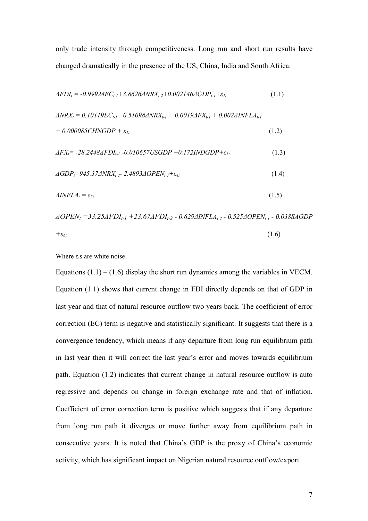only trade intensity through competitiveness. Long run and short run results have changed dramatically in the presence of the US, China, India and South Africa.

$$
\Delta FDI_t = -0.99924EC_{t-1} + 3.8626\Delta NRX_{t-2} + 0.002146\Delta GDP_{t-1} + \varepsilon_{It}
$$
\n(1.1)

$$
\Delta NRX_t = 0.10119EC_{t-1} - 0.51098\Delta NRX_{t-1} + 0.0019\Delta FX_{t-1} + 0.002\Delta INFLA_{t-1} + 0.000085CHNGDP + \varepsilon_{2t}
$$
\n(1.2)

$$
\Delta FX_t = -28.2448\Delta FDI_{t-1} - 0.010657USGDP + 0.172INDGDP + \varepsilon_{3t}
$$
\n(1.3)

$$
\Delta GDP_t = 945.37 \Delta NRX_{t-2} - 2.4893 \Delta OPEN_{t-1} + \varepsilon_{4t} \tag{1.4}
$$

$$
\Delta INFLA_t = \varepsilon_{5t} \tag{1.5}
$$

*∆OPEN<sup>t</sup> =33.25∆FDIt-1 +23.67∆FDIt-2 - 0.629∆INFLAt-2 - 0.525∆OPENt-1 - 0.038SAGDP*   $+ \varepsilon_{6t}$  (1.6)

Where  $\varepsilon$ <sub>ts</sub> are white noise.

Equations  $(1.1) - (1.6)$  display the short run dynamics among the variables in VECM. Equation (1.1) shows that current change in FDI directly depends on that of GDP in last year and that of natural resource outflow two years back. The coefficient of error correction (EC) term is negative and statistically significant. It suggests that there is a convergence tendency, which means if any departure from long run equilibrium path in last year then it will correct the last year's error and moves towards equilibrium path. Equation (1.2) indicates that current change in natural resource outflow is auto regressive and depends on change in foreign exchange rate and that of inflation. Coefficient of error correction term is positive which suggests that if any departure from long run path it diverges or move further away from equilibrium path in consecutive years. It is noted that China's GDP is the proxy of China's economic activity, which has significant impact on Nigerian natural resource outflow/export.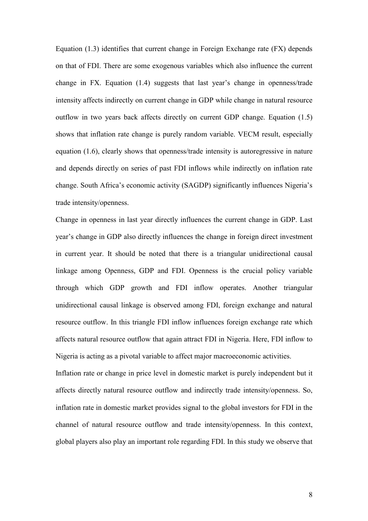Equation (1.3) identifies that current change in Foreign Exchange rate (FX) depends on that of FDI. There are some exogenous variables which also influence the current change in FX. Equation (1.4) suggests that last year's change in openness/trade intensity affects indirectly on current change in GDP while change in natural resource outflow in two years back affects directly on current GDP change. Equation (1.5) shows that inflation rate change is purely random variable. VECM result, especially equation (1.6), clearly shows that openness/trade intensity is autoregressive in nature and depends directly on series of past FDI inflows while indirectly on inflation rate change. South Africa's economic activity (SAGDP) significantly influences Nigeria's trade intensity/openness.

Change in openness in last year directly influences the current change in GDP. Last year's change in GDP also directly influences the change in foreign direct investment in current year. It should be noted that there is a triangular unidirectional causal linkage among Openness, GDP and FDI. Openness is the crucial policy variable through which GDP growth and FDI inflow operates. Another triangular unidirectional causal linkage is observed among FDI, foreign exchange and natural resource outflow. In this triangle FDI inflow influences foreign exchange rate which affects natural resource outflow that again attract FDI in Nigeria. Here, FDI inflow to Nigeria is acting as a pivotal variable to affect major macroeconomic activities.

Inflation rate or change in price level in domestic market is purely independent but it affects directly natural resource outflow and indirectly trade intensity/openness. So, inflation rate in domestic market provides signal to the global investors for FDI in the channel of natural resource outflow and trade intensity/openness. In this context, global players also play an important role regarding FDI. In this study we observe that

8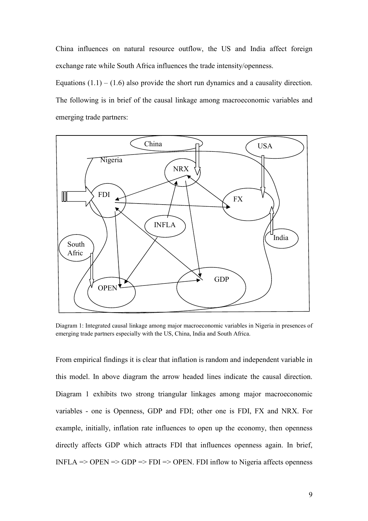China influences on natural resource outflow, the US and India affect foreign exchange rate while South Africa influences the trade intensity/openness.

Equations  $(1.1) - (1.6)$  also provide the short run dynamics and a causality direction. The following is in brief of the causal linkage among macroeconomic variables and emerging trade partners:



Diagram 1: Integrated causal linkage among major macroeconomic variables in Nigeria in presences of emerging trade partners especially with the US, China, India and South Africa.

From empirical findings it is clear that inflation is random and independent variable in this model. In above diagram the arrow headed lines indicate the causal direction. Diagram 1 exhibits two strong triangular linkages among major macroeconomic variables - one is Openness, GDP and FDI; other one is FDI, FX and NRX. For example, initially, inflation rate influences to open up the economy, then openness directly affects GDP which attracts FDI that influences openness again. In brief, INFLA  $\Rightarrow$  OPEN  $\Rightarrow$  GDP  $\Rightarrow$  FDI  $\Rightarrow$  OPEN. FDI inflow to Nigeria affects openness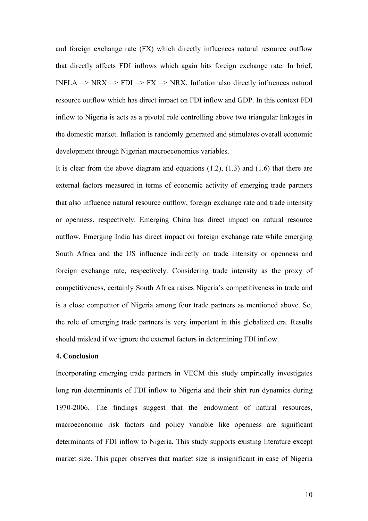and foreign exchange rate (FX) which directly influences natural resource outflow that directly affects FDI inflows which again hits foreign exchange rate. In brief, INFLA  $\Rightarrow$  NRX  $\Rightarrow$  FDI  $\Rightarrow$  FX  $\Rightarrow$  NRX. Inflation also directly influences natural resource outflow which has direct impact on FDI inflow and GDP. In this context FDI inflow to Nigeria is acts as a pivotal role controlling above two triangular linkages in the domestic market. Inflation is randomly generated and stimulates overall economic development through Nigerian macroeconomics variables.

It is clear from the above diagram and equations  $(1.2)$ ,  $(1.3)$  and  $(1.6)$  that there are external factors measured in terms of economic activity of emerging trade partners that also influence natural resource outflow, foreign exchange rate and trade intensity or openness, respectively. Emerging China has direct impact on natural resource outflow. Emerging India has direct impact on foreign exchange rate while emerging South Africa and the US influence indirectly on trade intensity or openness and foreign exchange rate, respectively. Considering trade intensity as the proxy of competitiveness, certainly South Africa raises Nigeria's competitiveness in trade and is a close competitor of Nigeria among four trade partners as mentioned above. So, the role of emerging trade partners is very important in this globalized era. Results should mislead if we ignore the external factors in determining FDI inflow.

## **4. Conclusion**

Incorporating emerging trade partners in VECM this study empirically investigates long run determinants of FDI inflow to Nigeria and their shirt run dynamics during 1970-2006. The findings suggest that the endowment of natural resources, macroeconomic risk factors and policy variable like openness are significant determinants of FDI inflow to Nigeria. This study supports existing literature except market size. This paper observes that market size is insignificant in case of Nigeria

10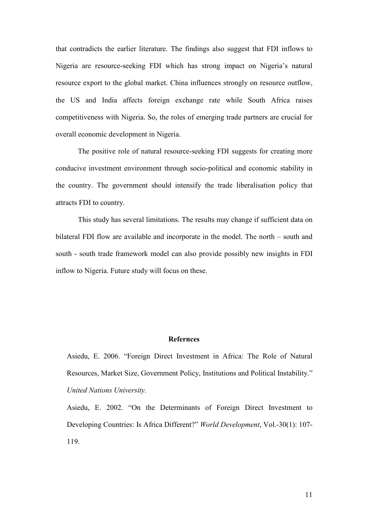that contradicts the earlier literature. The findings also suggest that FDI inflows to Nigeria are resource-seeking FDI which has strong impact on Nigeria's natural resource export to the global market. China influences strongly on resource outflow, the US and India affects foreign exchange rate while South Africa raises competitiveness with Nigeria. So, the roles of emerging trade partners are crucial for overall economic development in Nigeria.

The positive role of natural resource-seeking FDI suggests for creating more conducive investment environment through socio-political and economic stability in the country. The government should intensify the trade liberalisation policy that attracts FDI to country.

This study has several limitations. The results may change if sufficient data on bilateral FDI flow are available and incorporate in the model. The north – south and south - south trade framework model can also provide possibly new insights in FDI inflow to Nigeria. Future study will focus on these.

#### **Refernces**

Asiedu, E. 2006. "Foreign Direct Investment in Africa: The Role of Natural Resources, Market Size, Government Policy, Institutions and Political Instability." *United Nations University*.

Asiedu, E. 2002. "On the Determinants of Foreign Direct Investment to Developing Countries: Is Africa Different?" *World Development*, Vol.-30(1): 107- 119.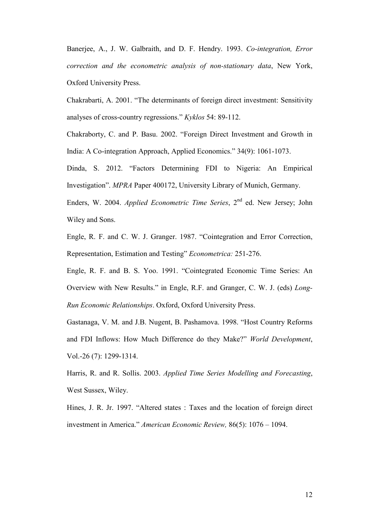Banerjee, A., J. W. Galbraith, and D. F. Hendry. 1993. *Co-integration, Error correction and the econometric analysis of non-stationary data*, New York, Oxford University Press.

Chakrabarti, A. 2001. "The determinants of foreign direct investment: Sensitivity analyses of cross-country regressions." *Kyklos* 54: 89-112.

Chakraborty, C. and P. Basu. 2002. "Foreign Direct Investment and Growth in India: A Co-integration Approach, Applied Economics." 34(9): 1061-1073.

Dinda, S. 2012. "[Factors Determining FDI to Nigeria: An Empirical](http://ideas.repec.org/p/pra/mprapa/28097.html)  [Investigation"](http://ideas.repec.org/p/pra/mprapa/28097.html). *[MPRA](http://ideas.repec.org/s/pra/mprapa.html)* Paper 400172, University Library of Munich, Germany.

Enders, W. 2004. *Applied Econometric Time Series*, 2nd ed. New Jersey; John Wiley and Sons.

Engle, R. F. and C. W. J. Granger. 1987. "Cointegration and Error Correction, Representation, Estimation and Testing" *Econometrica:* 251-276.

Engle, R. F. and B. S. Yoo. 1991. "Cointegrated Economic Time Series: An Overview with New Results." in Engle, R.F. and Granger, C. W. J. (eds) *Long-Run Economic Relationships*. Oxford, Oxford University Press.

Gastanaga, V. M. and J.B. Nugent, B. Pashamova. 1998. "Host Country Reforms and FDI Inflows: How Much Difference do they Make?" *World Development*, Vol.-26 (7): 1299-1314.

Harris, R. and R. Sollis. 2003. *Applied Time Series Modelling and Forecasting*, West Sussex, Wiley.

Hines, J. R. Jr. 1997. "Altered states : Taxes and the location of foreign direct investment in America." *American Economic Review,* 86(5): 1076 – 1094.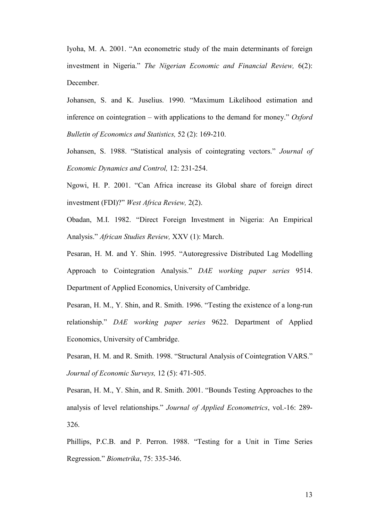Iyoha, M. A. 2001. "An econometric study of the main determinants of foreign investment in Nigeria." *The Nigerian Economic and Financial Review,* 6(2): December.

Johansen, S. and K. Juselius. 1990. "Maximum Likelihood estimation and inference on cointegration – with applications to the demand for money." *Oxford Bulletin of Economics and Statistics,* 52 (2): 169-210.

Johansen, S. 1988. "Statistical analysis of cointegrating vectors." *Journal of Economic Dynamics and Control,* 12: 231-254.

Ngowi, H. P. 2001. "Can Africa increase its Global share of foreign direct investment (FDI)?" *West Africa Review,* 2(2).

Obadan, M.I. 1982. "Direct Foreign Investment in Nigeria: An Empirical Analysis." *African Studies Review,* XXV (1): March.

Pesaran, H. M. and Y. Shin. 1995. "Autoregressive Distributed Lag Modelling Approach to Cointegration Analysis." *DAE working paper series* 9514. Department of Applied Economics, University of Cambridge.

Pesaran, H. M., Y. Shin, and R. Smith. 1996. "Testing the existence of a long-run relationship." *DAE working paper series* 9622. Department of Applied Economics, University of Cambridge.

Pesaran, H. M. and R. Smith. 1998. "Structural Analysis of Cointegration VARS." *Journal of Economic Surveys,* 12 (5): 471-505.

Pesaran, H. M., Y. Shin, and R. Smith. 2001. "Bounds Testing Approaches to the analysis of level relationships." *Journal of Applied Econometrics*, vol.-16: 289- 326.

Phillips, P.C.B. and P. Perron. 1988. "Testing for a Unit in Time Series Regression." *Biometrika*, 75: 335-346.